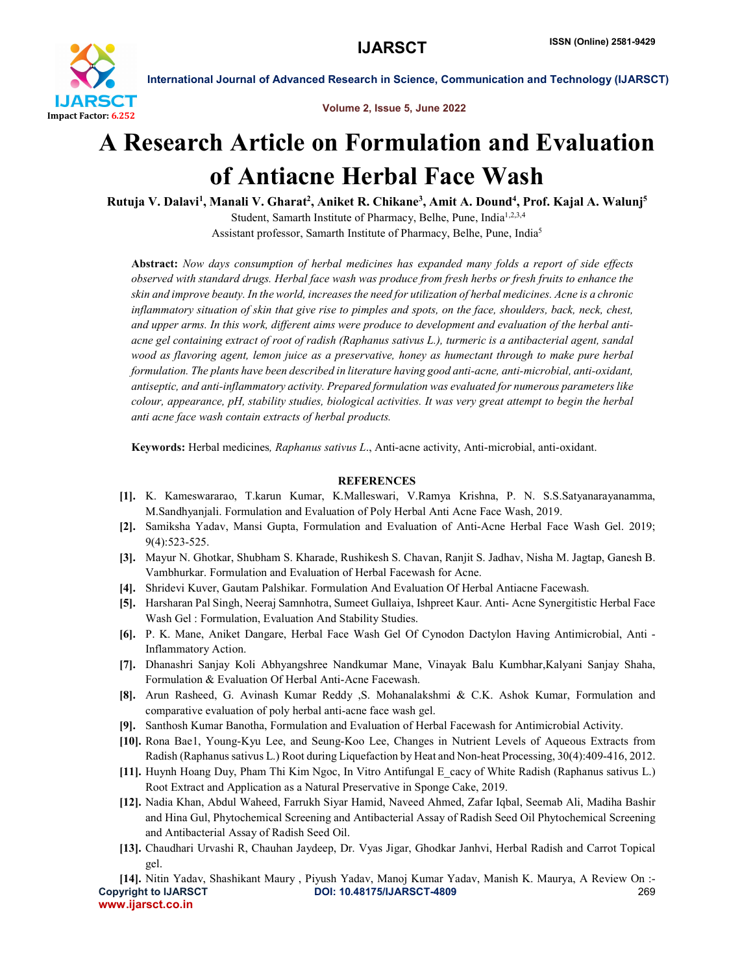

Volume 2, Issue 5, June 2022

International Journal of Advanced Research in Science, Communication and Technology (IJARSCT)

# A Research Article on Formulation and Evaluation of Antiacne Herbal Face Wash

Rutuja V. Dalavi<sup>1</sup>, Manali V. Gharat<sup>2</sup>, Aniket R. Chikane<sup>3</sup>, Amit A. Dound<sup>4</sup>, Prof. Kajal A. Walunj<sup>5</sup> Student, Samarth Institute of Pharmacy, Belhe, Pune, India<sup>1,2,3,4</sup> Assistant professor, Samarth Institute of Pharmacy, Belhe, Pune, India5

Abstract: *Now days consumption of herbal medicines has expanded many folds a report of side effects* observed with standard drugs. Herbal face wash was produce from fresh herbs or fresh fruits to enhance the skin and improve beauty. In the world, increases the need for utilization of herbal medicines. Acne is a chronic inflammatory situation of skin that give rise to pimples and spots, on the face, shoulders, back, neck, chest, and upper arms. In this work, different aims were produce to development and evaluation of the herbal antiacne gel containing extract of root of radish (Raphanus sativus L.), turmeric is a antibacterial agent, sandal *wood as flavoring agent, lemon juice as a preservative, honey as humectant through to make pure herbal formulation. The plants have been described in literature having good anti-acne, anti-microbial, anti-oxidant, antiseptic, and anti-inflammatory activity. Prepared formulation was evaluated for numerous parameters like colour, appearance, pH, stability studies, biological activities. It was very great attempt to begin the herbal anti acne face wash contain extracts of herbal products.*

Keywords: Herbal medicines*, Raphanus sativus L*., Anti-acne activity, Anti-microbial, anti-oxidant.

### **REFERENCES**

- [1]. K. Kameswararao, T.karun Kumar, K.Malleswari, V.Ramya Krishna, P. N. S.S.Satyanarayanamma, M.Sandhyanjali. Formulation and Evaluation of Poly Herbal Anti Acne Face Wash, 2019.
- [2]. Samiksha Yadav, Mansi Gupta, Formulation and Evaluation of Anti-Acne Herbal Face Wash Gel. 2019; 9(4):523-525.
- [3]. Mayur N. Ghotkar, Shubham S. Kharade, Rushikesh S. Chavan, Ranjit S. Jadhav, Nisha M. Jagtap, Ganesh B. Vambhurkar. Formulation and Evaluation of Herbal Facewash for Acne.
- [4]. Shridevi Kuver, Gautam Palshikar. Formulation And Evaluation Of Herbal Antiacne Facewash.
- [5]. Harsharan Pal Singh, Neeraj Samnhotra, Sumeet Gullaiya, Ishpreet Kaur. Anti- Acne Synergitistic Herbal Face Wash Gel : Formulation, Evaluation And Stability Studies.
- [6]. P. K. Mane, Aniket Dangare, Herbal Face Wash Gel Of Cynodon Dactylon Having Antimicrobial, Anti Inflammatory Action.
- [7]. Dhanashri Sanjay Koli Abhyangshree Nandkumar Mane, Vinayak Balu Kumbhar,Kalyani Sanjay Shaha, Formulation & Evaluation Of Herbal Anti-Acne Facewash.
- [8]. Arun Rasheed, G. Avinash Kumar Reddy ,S. Mohanalakshmi & C.K. Ashok Kumar, Formulation and comparative evaluation of poly herbal anti-acne face wash gel.
- [9]. Santhosh Kumar Banotha, Formulation and Evaluation of Herbal Facewash for Antimicrobial Activity.
- [10]. Rona Bae1, Young-Kyu Lee, and Seung-Koo Lee, Changes in Nutrient Levels of Aqueous Extracts from Radish (Raphanus sativus L.) Root during Liquefaction by Heat and Non-heat Processing, 30(4):409-416, 2012.
- [11]. Huynh Hoang Duy, Pham Thi Kim Ngoc, In Vitro Antifungal E\_cacy of White Radish (Raphanus sativus L.) Root Extract and Application as a Natural Preservative in Sponge Cake, 2019.
- [12]. Nadia Khan, Abdul Waheed, Farrukh Siyar Hamid, Naveed Ahmed, Zafar Iqbal, Seemab Ali, Madiha Bashir and Hina Gul, Phytochemical Screening and Antibacterial Assay of Radish Seed Oil Phytochemical Screening and Antibacterial Assay of Radish Seed Oil.
- [13]. Chaudhari Urvashi R, Chauhan Jaydeep, Dr. Vyas Jigar, Ghodkar Janhvi, Herbal Radish and Carrot Topical gel.

Copyright to IJARSCT DOI: 10.48175/IJARSCT-4809 269 www.ijarsct.co.in [14]. Nitin Yadav, Shashikant Maury , Piyush Yadav, Manoj Kumar Yadav, Manish K. Maurya, A Review On :-